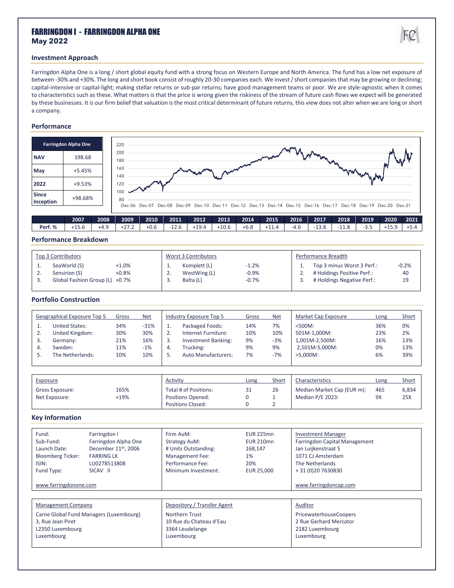# FARRINGDON I - FARRINGDON ALPHA ONE **May 2022**

# **Investment Approach**

Farringdon Alpha One is a long / short global equity fund with a strong focus on Western Europe and North America. The fund has a low net exposure of between -30% and +30%. The long and short book consist of roughly 20-30 companies each. We invest/ short companies that may be growing or declining; capital-intensive or capital-light; making stellar returns or sub-par returns; have good management teams or poor. We are style-agnostic when it comes to characteristics such as these. What matters is that the price is wrong given the riskiness of the stream of future cash flows we expect will be generated by these businesses. It is our firm belief that valuation is the most critical determinant of future returns, this view does not alter when we are long or short a company.

### **Performance**

|                           | <b>Farringdon Alpha One</b> | 220<br>WV                                                                                                                    |
|---------------------------|-----------------------------|------------------------------------------------------------------------------------------------------------------------------|
| <b>NAV</b>                | 198.68                      | 200<br>180                                                                                                                   |
| May                       | $+5.45%$                    | 160<br>monday your<br>140                                                                                                    |
| 2022                      | $+9.53%$                    | 120                                                                                                                          |
| <b>Since</b><br>Inception | +98.68%                     | 100<br>80<br>Dec-06 Dec-07 Dec-08 Dec-09 Dec-10 Dec-11 Dec-12 Dec-13 Dec-14 Dec-15 Dec-16 Dec-17 Dec-18 Dec-19 Dec-20 Dec-21 |
|                           | ----                        | ----<br>----<br>----<br>----<br>----<br>----<br>----<br>----<br>----<br>----<br>----<br>----<br>----<br>----                 |

|                | 2008   | 2009               | 2010                  | 2011           | 2012 | 2013    | 2014 | 2015     | 2016 | 2017 | 2018    | 2019 | 2020  | 2021     |
|----------------|--------|--------------------|-----------------------|----------------|------|---------|------|----------|------|------|---------|------|-------|----------|
| Perf.%<br>15.G | $+4.1$ | $\sim$ $\sim$<br>. | $\pm 0$ $\in$<br>+u.t | $\sim$<br>12.C | 19.4 | $+10.6$ | ∙ხ.ŏ | ÷ 1<br>. | -4.U | 13.O | <b></b> |      | ر.ر ب | <u>.</u> |

## **Performance Breakdown**

| Top 3 Contributors             |                    | Worst 3 Contributors         |                    | Performance Breadth                                      |               |
|--------------------------------|--------------------|------------------------------|--------------------|----------------------------------------------------------|---------------|
| SeaWorld (S)<br>Sensirion (S)  | $+1.0%$<br>$+0.8%$ | Komplett (L)<br>WestWing (L) | $-1.2%$<br>$-0.9%$ | Top 3 minus Worst 3 Perf.:<br># Holdings Positive Perf.: | $-0.2%$<br>40 |
| Global Fashion Group (L) +0.7% |                    | Balta (L)                    | $-0.7%$            | # Holdings Negative Perf.:                               | 19            |

#### **Portfolio Construction**

| Geographical Exposure Top 5 | Gross | <b>Net</b> |    | Industry Exposure Top 5    | Gross | <b>Net</b> | Market Cap Exposure | Long | Short |
|-----------------------------|-------|------------|----|----------------------------|-------|------------|---------------------|------|-------|
| <b>United States:</b>       | 34%   | $-31%$     |    | Packaged Foods:            | 14%   | 7%         | $< 500M$ :          | 36%  | 0%    |
| United Kingdom:             | 30%   | 30%        | z. | Internet Furniture:        | 10%   | 10%        | 501M-1.000M:        | 23%  | 2%    |
| Germany:                    | 21%   | 16%        |    | <b>Investment Banking:</b> | 9%    | $-3%$      | 1,001M-2,500M:      | 16%  | 13%   |
| Sweden:                     | 11%   | $-1%$      | 4. | Trucking:                  | 9%    | 9%         | 2,501M-5,000M:      | 0%   | 13%   |
| The Netherlands:            | 10%   | 10%        |    | Auto Manufacturers:        | 7%    | $-7%$      | $>5.000M$ :         | 6%   | 39%   |
|                             |       |            |    |                            |       |            |                     |      |       |

| Exposure                         |              | Activity                                                                      | Long | Short | Characteristics                                | Long      | Short        |
|----------------------------------|--------------|-------------------------------------------------------------------------------|------|-------|------------------------------------------------|-----------|--------------|
| Gross Exposure:<br>Net Exposure: | 165%<br>+19% | Total # of Positions:<br><b>Positions Opened:</b><br><b>Positions Closed:</b> | 31   | 26    | Median Market Cap (EUR m):<br>Median P/E 2023: | 465<br>9X | 6,834<br>25X |

#### **Key Information**

| Fund:<br>Sub-Fund:<br>Launch Date:<br><b>Bloomberg Ticker:</b><br>ISIN:<br>Fund Type:<br>www.farringdonone.com | Farringdon I<br>Farringdon Alpha One<br>December 11 <sup>th</sup> , 2006<br><b>FARRING LX</b><br>LU0278513808<br>SICAV II | Firm AuM:<br><b>Strategy AuM:</b><br># Units Outstanding:<br>Management Fee:<br>Performance Fee:<br>Minimum Investment: | <b>EUR 225mn</b><br><b>EUR 210mn</b><br>168,147<br>1%<br>20%<br>EUR 25,000 | <b>Investment Manager</b><br>Farringdon Capital Management<br>Jan Luijkenstraat 5<br>1071 CJ Amsterdam<br>The Netherlands<br>+31 (0) 20 7630830<br>www.farringdoncap.com |
|----------------------------------------------------------------------------------------------------------------|---------------------------------------------------------------------------------------------------------------------------|-------------------------------------------------------------------------------------------------------------------------|----------------------------------------------------------------------------|--------------------------------------------------------------------------------------------------------------------------------------------------------------------------|
| <b>Management Company</b><br>3, Rue Jean Piret<br>L2350 Luxembourg<br>Luxembourg                               | Carne Global Fund Managers (Luxembourg)                                                                                   | Depository / Transfer Agent<br><b>Northern Trust</b><br>10 Rue du Chateau d'Eau<br>3364 Leudelange<br>Luxembourg        |                                                                            | Auditor<br>PricewaterhouseCoopers<br>2 Rue Gerhard Mercator<br>2182 Luxembourg<br>Luxembourg                                                                             |